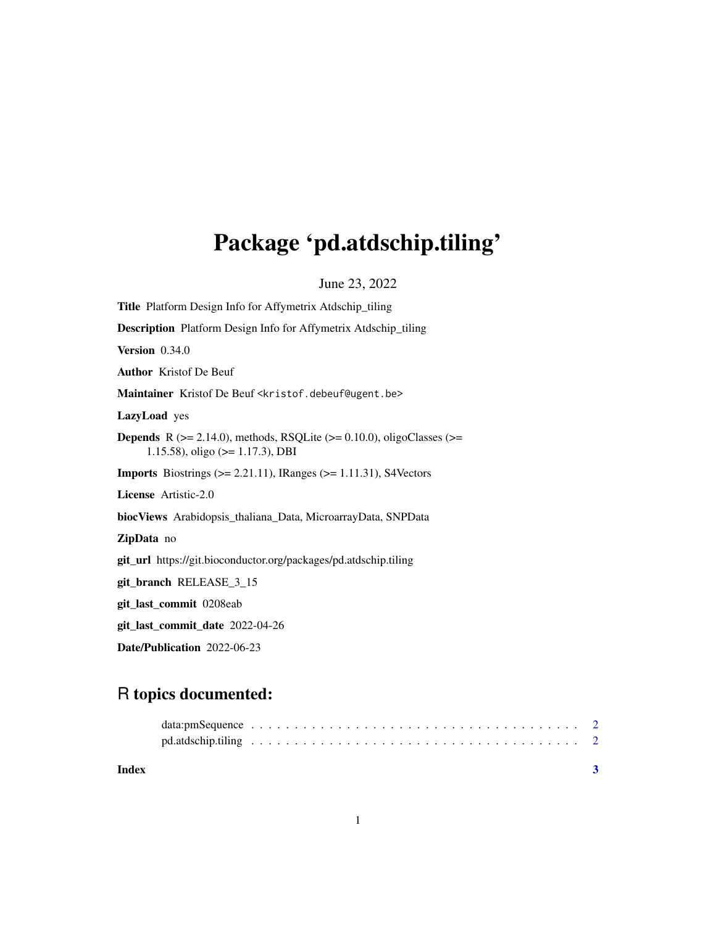# Package 'pd.atdschip.tiling'

June 23, 2022

| <b>Title</b> Platform Design Info for Affymetrix Atdschip_tiling                                                                 |
|----------------------------------------------------------------------------------------------------------------------------------|
| Description Platform Design Info for Affymetrix Atdschip_tiling                                                                  |
| Version 0.34.0                                                                                                                   |
| <b>Author</b> Kristof De Beuf                                                                                                    |
| Maintainer Kristof De Beuf <kristof.debeuf@ugent.be></kristof.debeuf@ugent.be>                                                   |
| LazyLoad yes                                                                                                                     |
| <b>Depends</b> R ( $>= 2.14.0$ ), methods, RSQLite ( $>= 0.10.0$ ), oligoClasses ( $>=$<br>1.15.58), oligo ( $> = 1.17.3$ ), DBI |
| <b>Imports</b> Biostrings ( $>= 2.21.11$ ), IRanges ( $>= 1.11.31$ ), S4Vectors                                                  |
| License Artistic-2.0                                                                                                             |
| biocViews Arabidopsis_thaliana_Data, MicroarrayData, SNPData                                                                     |
| <b>ZipData</b> no                                                                                                                |
| git_url https://git.bioconductor.org/packages/pd.atdschip.tiling                                                                 |
| git_branch RELEASE_3_15                                                                                                          |
| git_last_commit 0208eab                                                                                                          |
| git_last_commit_date 2022-04-26                                                                                                  |

Date/Publication 2022-06-23

## R topics documented:

| Index |  |  |  |  |  |  |  |  |  |  |  |  |  |  |  |  |
|-------|--|--|--|--|--|--|--|--|--|--|--|--|--|--|--|--|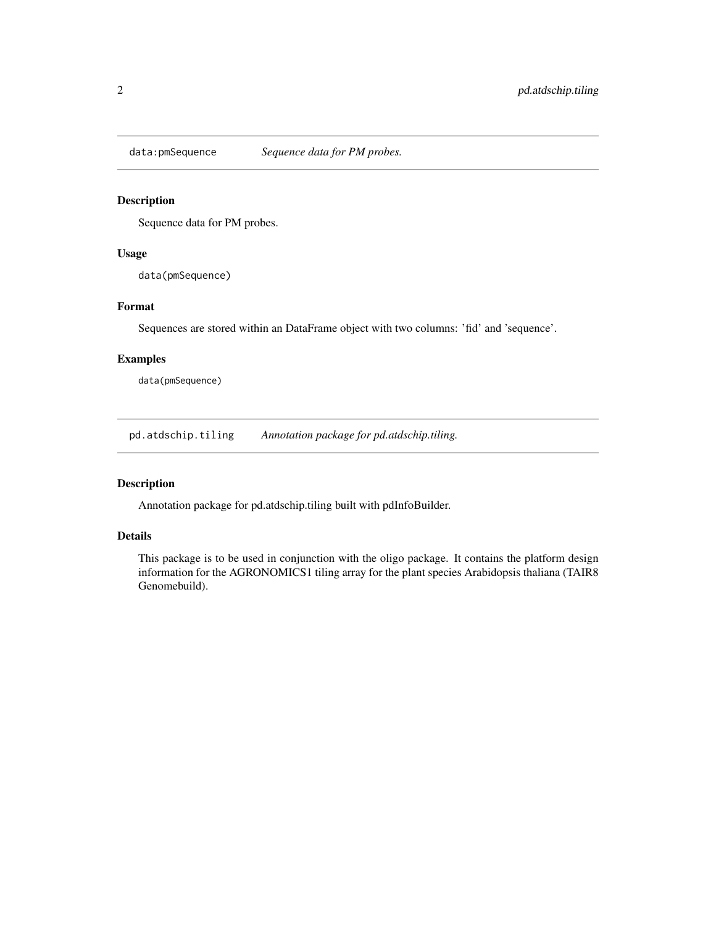<span id="page-1-0"></span>

### Description

Sequence data for PM probes.

### Usage

data(pmSequence)

### Format

Sequences are stored within an DataFrame object with two columns: 'fid' and 'sequence'.

### Examples

data(pmSequence)

pd.atdschip.tiling *Annotation package for pd.atdschip.tiling.*

#### Description

Annotation package for pd.atdschip.tiling built with pdInfoBuilder.

#### Details

This package is to be used in conjunction with the oligo package. It contains the platform design information for the AGRONOMICS1 tiling array for the plant species Arabidopsis thaliana (TAIR8 Genomebuild).